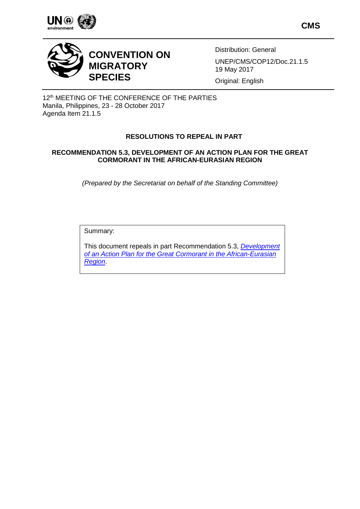

**CMS**



# **CONVENTION ON MIGRATORY SPECIES**

Distribution: General UNEP/CMS/COP12/Doc.21.1.5 19 May 2017

Original: English

12<sup>th</sup> MEETING OF THE CONFERENCE OF THE PARTIES Manila, Philippines, 23 - 28 October 2017 Agenda Item 21.1.5

# **RESOLUTIONS TO REPEAL IN PART**

## **RECOMMENDATION 5.3, DEVELOPMENT OF AN ACTION PLAN FOR THE GREAT CORMORANT IN THE AFRICAN-EURASIAN REGION**

*(Prepared by the Secretariat on behalf of the Standing Committee)*

Summary:

This document repeals in part Recommendation 5.3, *[Development](http://www.cms.int/en/document/development-action-plan-great-cormorant-african-eurasian-region)  [of an Action Plan for the Great Cormorant in the African-Eurasian](http://www.cms.int/en/document/development-action-plan-great-cormorant-african-eurasian-region)  [Region](http://www.cms.int/en/document/development-action-plan-great-cormorant-african-eurasian-region)*.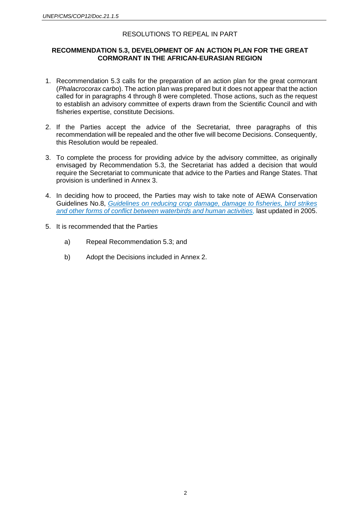# RESOLUTIONS TO REPEAL IN PART

## **RECOMMENDATION 5.3, DEVELOPMENT OF AN ACTION PLAN FOR THE GREAT CORMORANT IN THE AFRICAN-EURASIAN REGION**

- 1. Recommendation 5.3 calls for the preparation of an action plan for the great cormorant (*Phalacrocorax carbo*). The action plan was prepared but it does not appear that the action called for in paragraphs 4 through 8 were completed. Those actions, such as the request to establish an advisory committee of experts drawn from the Scientific Council and with fisheries expertise, constitute Decisions.
- 2. If the Parties accept the advice of the Secretariat, three paragraphs of this recommendation will be repealed and the other five will become Decisions. Consequently, this Resolution would be repealed.
- 3. To complete the process for providing advice by the advisory committee, as originally envisaged by Recommendation 5.3, the Secretariat has added a decision that would require the Secretariat to communicate that advice to the Parties and Range States. That provision is underlined in Annex 3.
- 4. In deciding how to proceed, the Parties may wish to take note of AEWA Conservation Guidelines No.8, *[Guidelines on reducing crop damage, damage to fisheries, bird strikes](http://www.unep-aewa.org/en/publication/aewa-conservation-guidelines-no-8-guidelines-reducing-crop-damage-damage-fisheries-bird)  [and other forms of conflict between waterbirds and human activities,](http://www.unep-aewa.org/en/publication/aewa-conservation-guidelines-no-8-guidelines-reducing-crop-damage-damage-fisheries-bird)* last updated in 2005.
- 5. It is recommended that the Parties
	- a) Repeal Recommendation 5.3; and
	- b) Adopt the Decisions included in Annex 2.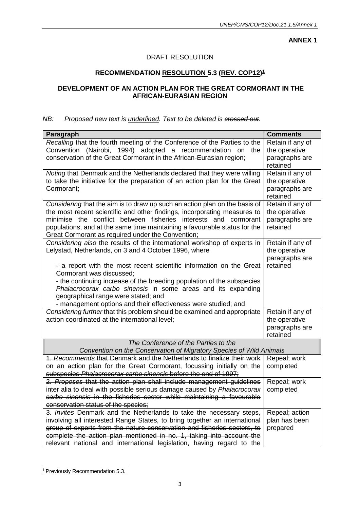**ANNEX 1**

# DRAFT RESOLUTION

# **RECOMMENDATION RESOLUTION 5.3 (REV. COP12) 1**

# **DEVELOPMENT OF AN ACTION PLAN FOR THE GREAT CORMORANT IN THE AFRICAN-EURASIAN REGION**

# *NB: Proposed new text is <u>underlined</u>. Text to be deleted is crossed out.*

| Paragraph                                                                                                                                  | <b>Comments</b>                   |  |
|--------------------------------------------------------------------------------------------------------------------------------------------|-----------------------------------|--|
| Recalling that the fourth meeting of the Conference of the Parties to the                                                                  | Retain if any of                  |  |
| Convention (Nairobi, 1994) adopted a recommendation on the                                                                                 | the operative                     |  |
| conservation of the Great Cormorant in the African-Eurasian region;                                                                        | paragraphs are                    |  |
|                                                                                                                                            | retained                          |  |
| Noting that Denmark and the Netherlands declared that they were willing                                                                    | Retain if any of                  |  |
| to take the initiative for the preparation of an action plan for the Great                                                                 | the operative                     |  |
| Cormorant;                                                                                                                                 | paragraphs are                    |  |
|                                                                                                                                            | retained                          |  |
| Considering that the aim is to draw up such an action plan on the basis of                                                                 | Retain if any of                  |  |
| the most recent scientific and other findings, incorporating measures to                                                                   | the operative                     |  |
| minimise the conflict between fisheries interests and cormorant                                                                            | paragraphs are                    |  |
| populations, and at the same time maintaining a favourable status for the                                                                  | retained                          |  |
| Great Cormorant as required under the Convention;                                                                                          |                                   |  |
| Considering also the results of the international workshop of experts in                                                                   | Retain if any of                  |  |
| Lelystad, Netherlands, on 3 and 4 October 1996, where                                                                                      | the operative                     |  |
|                                                                                                                                            | paragraphs are                    |  |
| - a report with the most recent scientific information on the Great                                                                        | retained                          |  |
| Cormorant was discussed:                                                                                                                   |                                   |  |
| - the continuing increase of the breeding population of the subspecies                                                                     |                                   |  |
| Phalacrocorax carbo sinensis in some areas and its expanding                                                                               |                                   |  |
| geographical range were stated; and                                                                                                        |                                   |  |
| - management options and their effectiveness were studied; and<br>Considering further that this problem should be examined and appropriate |                                   |  |
| action coordinated at the international level;                                                                                             | Retain if any of<br>the operative |  |
|                                                                                                                                            | paragraphs are                    |  |
|                                                                                                                                            | retained                          |  |
| The Conference of the Parties to the                                                                                                       |                                   |  |
| Convention on the Conservation of Migratory Species of Wild Animals                                                                        |                                   |  |
| 1. Recommends that Denmark and the Netherlands to finalize their work                                                                      | Repeal; work                      |  |
| on an action plan for the Great Cormorant, focussing initially on the                                                                      | completed                         |  |
| subspecies Phalacrocorax carbo sinensis before the end of 1997;                                                                            |                                   |  |
| 2. Proposes that the action plan shall include management guidelines                                                                       | Repeal; work                      |  |
| inter alia to deal with possible serious damage caused by Phalacrocorax                                                                    | completed                         |  |
| carbo sinensis in the fisheries sector while maintaining a favourable                                                                      |                                   |  |
| conservation status of the species;                                                                                                        |                                   |  |
| 3. Invites Denmark and the Netherlands to take the necessary steps,                                                                        | Repeal; action                    |  |
| involving all interested Range States, to bring together an international                                                                  | plan has been                     |  |
| group of experts from the nature conservation and fisheries sectors, to                                                                    | prepared                          |  |
| complete the action plan mentioned in no. 1, taking into account the                                                                       |                                   |  |
| relevant national and international legislation, having regard to the                                                                      |                                   |  |

<sup>1</sup> Previously Recommendation 5.3.

 $\overline{a}$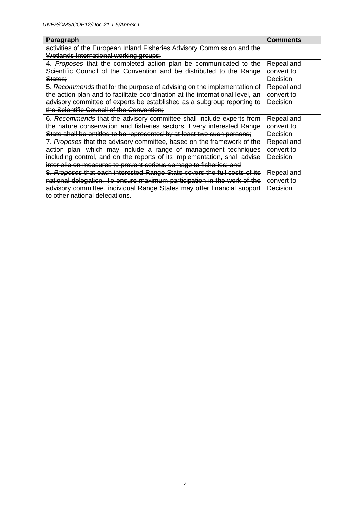| Paragraph                                                                     | <b>Comments</b> |
|-------------------------------------------------------------------------------|-----------------|
| activities of the European Inland Fisheries Advisory Commission and the       |                 |
| Wetlands International working groups;                                        |                 |
| 4. Proposes that the completed action plan be communicated to the             | Repeal and      |
| Scientific Council of the Convention and be distributed to the Range          | convert to      |
| States:                                                                       | Decision        |
| 5. Recommends that for the purpose of advising on the implementation of       | Repeal and      |
| the action plan and to facilitate coordination at the international level, an | convert to      |
| advisory committee of experts be established as a subgroup reporting to       | Decision        |
| the Scientific Council of the Convention;                                     |                 |
| 6. Recommends that the advisory committee shall include experts from          | Repeal and      |
| the nature conservation and fisheries sectors. Every interested Range         | convert to      |
| State shall be entitled to be represented by at least two such persons;       | Decision        |
| 7. Proposes that the advisory committee, based on the framework of the        | Repeal and      |
| action plan, which may include a range of management techniques               | convert to      |
| including control, and on the reports of its implementation, shall advise     | Decision        |
| inter alia on measures to prevent serious damage to fisheries; and            |                 |
| 8. Proposes that each interested Range State covers the full costs of its     | Repeal and      |
| national delegation. To ensure maximum participation in the work of the       | convert to      |
| advisory committee, individual Range States may offer financial support       | Decision        |
| to other national delegations.                                                |                 |